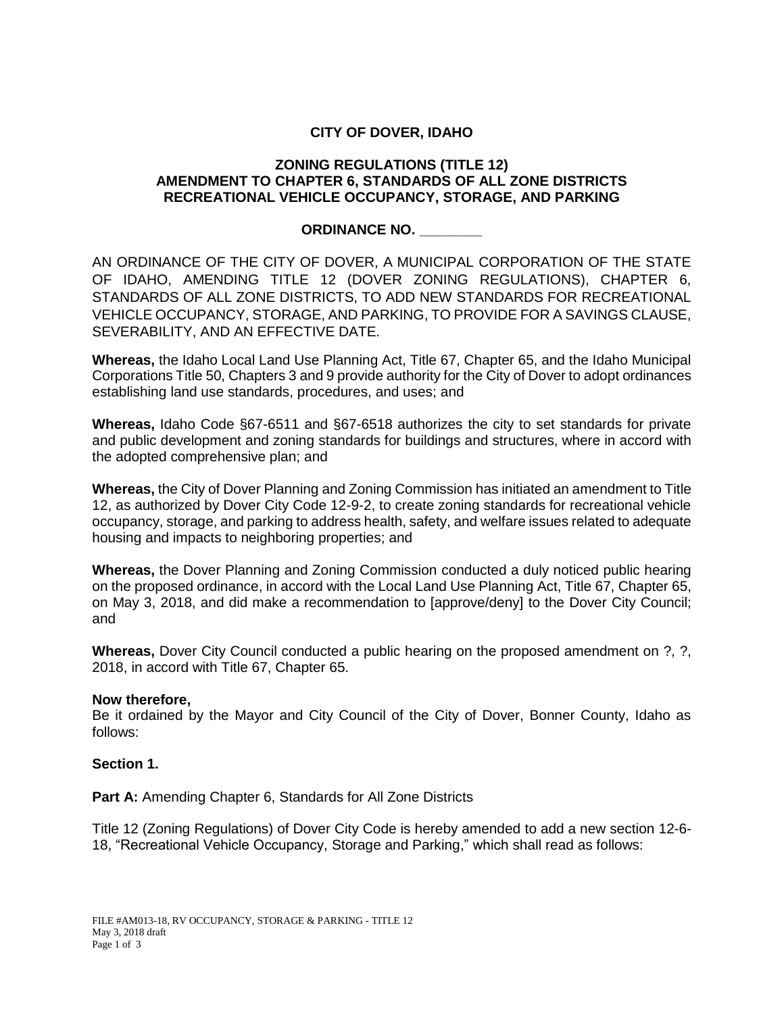# **CITY OF DOVER, IDAHO**

### **ZONING REGULATIONS (TITLE 12) AMENDMENT TO CHAPTER 6, STANDARDS OF ALL ZONE DISTRICTS RECREATIONAL VEHICLE OCCUPANCY, STORAGE, AND PARKING**

## **ORDINANCE NO. \_\_\_\_\_\_\_\_**

AN ORDINANCE OF THE CITY OF DOVER, A MUNICIPAL CORPORATION OF THE STATE OF IDAHO, AMENDING TITLE 12 (DOVER ZONING REGULATIONS), CHAPTER 6, STANDARDS OF ALL ZONE DISTRICTS, TO ADD NEW STANDARDS FOR RECREATIONAL VEHICLE OCCUPANCY, STORAGE, AND PARKING, TO PROVIDE FOR A SAVINGS CLAUSE, SEVERABILITY, AND AN EFFECTIVE DATE.

**Whereas,** the Idaho Local Land Use Planning Act, Title 67, Chapter 65, and the Idaho Municipal Corporations Title 50, Chapters 3 and 9 provide authority for the City of Dover to adopt ordinances establishing land use standards, procedures, and uses; and

**Whereas,** Idaho Code §67-6511 and §67-6518 authorizes the city to set standards for private and public development and zoning standards for buildings and structures, where in accord with the adopted comprehensive plan; and

**Whereas,** the City of Dover Planning and Zoning Commission has initiated an amendment to Title 12, as authorized by Dover City Code 12-9-2, to create zoning standards for recreational vehicle occupancy, storage, and parking to address health, safety, and welfare issues related to adequate housing and impacts to neighboring properties; and

**Whereas,** the Dover Planning and Zoning Commission conducted a duly noticed public hearing on the proposed ordinance, in accord with the Local Land Use Planning Act, Title 67, Chapter 65, on May 3, 2018, and did make a recommendation to [approve/deny] to the Dover City Council; and

**Whereas,** Dover City Council conducted a public hearing on the proposed amendment on ?, ?, 2018, in accord with Title 67, Chapter 65.

### **Now therefore,**

Be it ordained by the Mayor and City Council of the City of Dover, Bonner County, Idaho as follows:

### **Section 1.**

**Part A:** Amending Chapter 6, Standards for All Zone Districts

Title 12 (Zoning Regulations) of Dover City Code is hereby amended to add a new section 12-6- 18, "Recreational Vehicle Occupancy, Storage and Parking," which shall read as follows: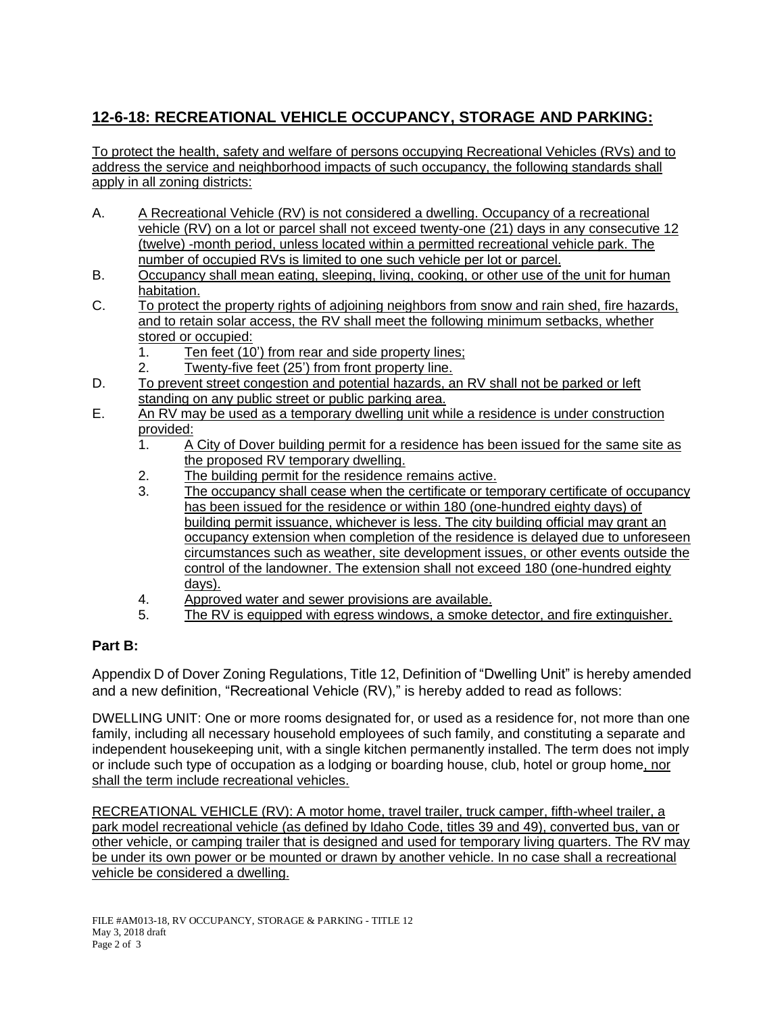# **12-6-18: RECREATIONAL VEHICLE OCCUPANCY, STORAGE AND PARKING:**

To protect the health, safety and welfare of persons occupying Recreational Vehicles (RVs) and to address the service and neighborhood impacts of such occupancy, the following standards shall apply in all zoning districts:

- A. A Recreational Vehicle (RV) is not considered a dwelling. Occupancy of a recreational vehicle (RV) on a lot or parcel shall not exceed twenty-one (21) days in any consecutive 12 (twelve) -month period, unless located within a permitted recreational vehicle park. The number of occupied RVs is limited to one such vehicle per lot or parcel.
- B. Occupancy shall mean eating, sleeping, living, cooking, or other use of the unit for human habitation.
- C. To protect the property rights of adjoining neighbors from snow and rain shed, fire hazards, and to retain solar access, the RV shall meet the following minimum setbacks, whether stored or occupied:
	- 1. Ten feet (10') from rear and side property lines;
	- 2. Twenty-five feet (25') from front property line.
- D. To prevent street congestion and potential hazards, an RV shall not be parked or left standing on any public street or public parking area.
- E. An RV may be used as a temporary dwelling unit while a residence is under construction provided:
	- 1. A City of Dover building permit for a residence has been issued for the same site as the proposed RV temporary dwelling.
	- 2. The building permit for the residence remains active.
	- 3. The occupancy shall cease when the certificate or temporary certificate of occupancy has been issued for the residence or within 180 (one-hundred eighty days) of building permit issuance, whichever is less. The city building official may grant an occupancy extension when completion of the residence is delayed due to unforeseen circumstances such as weather, site development issues, or other events outside the control of the landowner. The extension shall not exceed 180 (one-hundred eighty days).
	- 4. Approved water and sewer provisions are available.
	- 5. The RV is equipped with egress windows, a smoke detector, and fire extinguisher.

# **Part B:**

Appendix D of Dover Zoning Regulations, Title 12, Definition of "Dwelling Unit" is hereby amended and a new definition, "Recreational Vehicle (RV)," is hereby added to read as follows:

DWELLING UNIT: One or more rooms designated for, or used as a residence for, not more than one family, including all necessary household employees of such family, and constituting a separate and independent housekeeping unit, with a single kitchen permanently installed. The term does not imply or include such type of occupation as a lodging or boarding house, club, hotel or group home, nor shall the term include recreational vehicles.

RECREATIONAL VEHICLE (RV): A motor home, travel trailer, truck camper, fifth-wheel trailer, a park model recreational vehicle (as defined by Idaho Code, titles 39 and 49), converted bus, van or other vehicle, or camping trailer that is designed and used for temporary living quarters. The RV may be under its own power or be mounted or drawn by another vehicle. In no case shall a recreational vehicle be considered a dwelling.